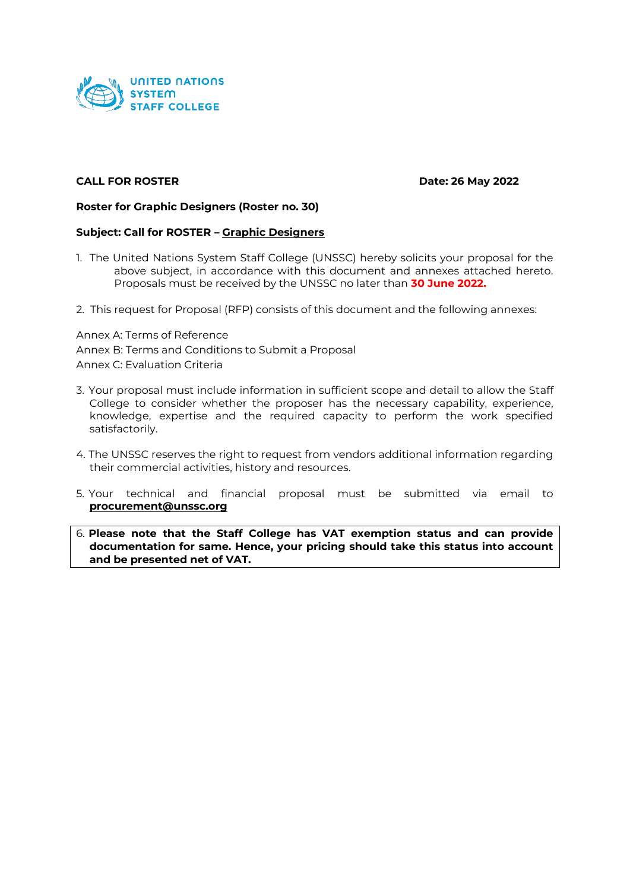

#### **CALL FOR ROSTER Date: 26 May 2022**

#### **Roster for Graphic Designers (Roster no. 30)**

#### **Subject: Call for ROSTER – Graphic Designers**

- 1. The United Nations System Staff College (UNSSC) hereby solicits your proposal for the above subject, in accordance with this document and annexes attached hereto. Proposals must be received by the UNSSC no later than **30 June 2022.**
- 2. This request for Proposal (RFP) consists of this document and the following annexes:

Annex A: Terms of Reference Annex B: Terms and Conditions to Submit a Proposal Annex C: Evaluation Criteria

- 3. Your proposal must include information in sufficient scope and detail to allow the Staff College to consider whether the proposer has the necessary capability, experience, knowledge, expertise and the required capacity to perform the work specified satisfactorily.
- 4. The UNSSC reserves the right to request from vendors additional information regarding their commercial activities, history and resources.
- 5. Your technical and financial proposal must be submitted via email to **[procurement@unssc.org](mailto:procurement@unssc.org)**
- 6. **Please note that the Staff College has VAT exemption status and can provide documentation for same. Hence, your pricing should take this status into account and be presented net of VAT.**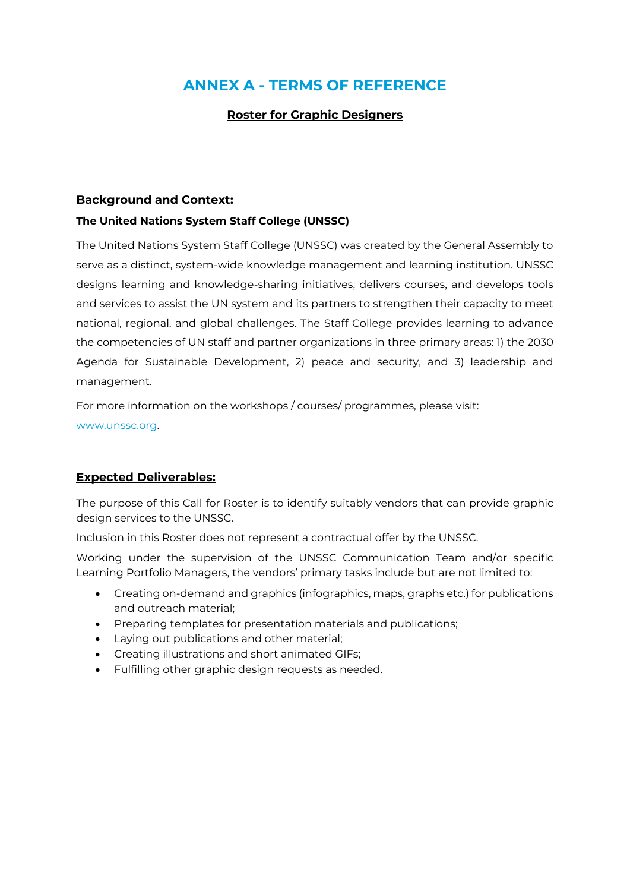## **ANNEX A - TERMS OF REFERENCE**

## **Roster for Graphic Designers**

## **Background and Context:**

#### **The United Nations System Staff College (UNSSC)**

The United Nations System Staff College (UNSSC) was created by the General Assembly to serve as a distinct, system-wide knowledge management and learning institution. UNSSC designs learning and knowledge-sharing initiatives, delivers courses, and develops tools and services to assist the UN system and its partners to strengthen their capacity to meet national, regional, and global challenges. The Staff College provides learning to advance the competencies of UN staff and partner organizations in three primary areas: 1) the 2030 Agenda for Sustainable Development, 2) peace and security, and 3) leadership and management.

For more information on the workshops / courses/ programmes, please visit:

www.unssc.org.

#### **Expected Deliverables:**

The purpose of this Call for Roster is to identify suitably vendors that can provide graphic design services to the UNSSC.

Inclusion in this Roster does not represent a contractual offer by the UNSSC.

Working under the supervision of the UNSSC Communication Team and/or specific Learning Portfolio Managers, the vendors' primary tasks include but are not limited to:

- Creating on-demand and graphics (infographics, maps, graphs etc.) for publications and outreach material;
- Preparing templates for presentation materials and publications;
- Laying out publications and other material;
- Creating illustrations and short animated GIFs;
- Fulfilling other graphic design requests as needed.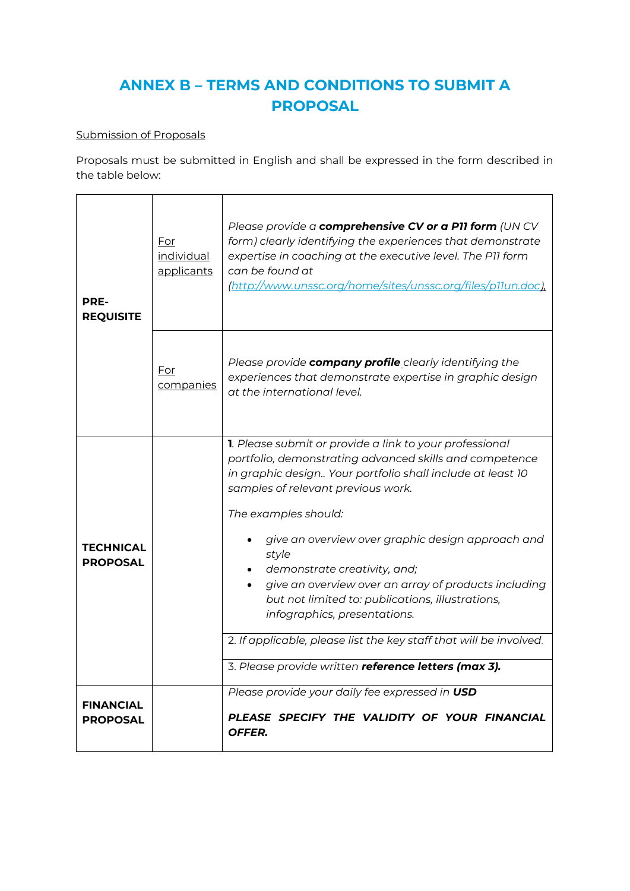# **ANNEX B – TERMS AND CONDITIONS TO SUBMIT A PROPOSAL**

## Submission of Proposals

Proposals must be submitted in English and shall be expressed in the form described in the table below:

| PRE-<br><b>REQUISITE</b>            | For<br>individual<br>applicants | Please provide a comprehensive CV or a P11 form (UN CV<br>form) clearly identifying the experiences that demonstrate<br>expertise in coaching at the executive level. The P11 form<br>can be found at<br>(http://www.unssc.org/home/sites/unssc.org/files/p11un.doc)                                                                                                                                                                                                                                                                                           |
|-------------------------------------|---------------------------------|----------------------------------------------------------------------------------------------------------------------------------------------------------------------------------------------------------------------------------------------------------------------------------------------------------------------------------------------------------------------------------------------------------------------------------------------------------------------------------------------------------------------------------------------------------------|
|                                     | <u>For</u><br>companies         | Please provide company profile clearly identifying the<br>experiences that demonstrate expertise in graphic design<br>at the international level.                                                                                                                                                                                                                                                                                                                                                                                                              |
| <b>TECHNICAL</b><br><b>PROPOSAL</b> |                                 | 1. Please submit or provide a link to your professional<br>portfolio, demonstrating advanced skills and competence<br>in graphic design Your portfolio shall include at least 10<br>samples of relevant previous work.<br>The examples should:<br>give an overview over graphic design approach and<br>style<br>demonstrate creativity, and;<br>give an overview over an array of products including<br>but not limited to: publications, illustrations,<br>infographics, presentations.<br>2. If applicable, please list the key staff that will be involved. |
|                                     |                                 | 3. Please provide written reference letters (max 3).                                                                                                                                                                                                                                                                                                                                                                                                                                                                                                           |
| <b>FINANCIAL</b><br><b>PROPOSAL</b> |                                 | Please provide your daily fee expressed in USD<br>PLEASE SPECIFY THE VALIDITY OF YOUR FINANCIAL<br>OFFER.                                                                                                                                                                                                                                                                                                                                                                                                                                                      |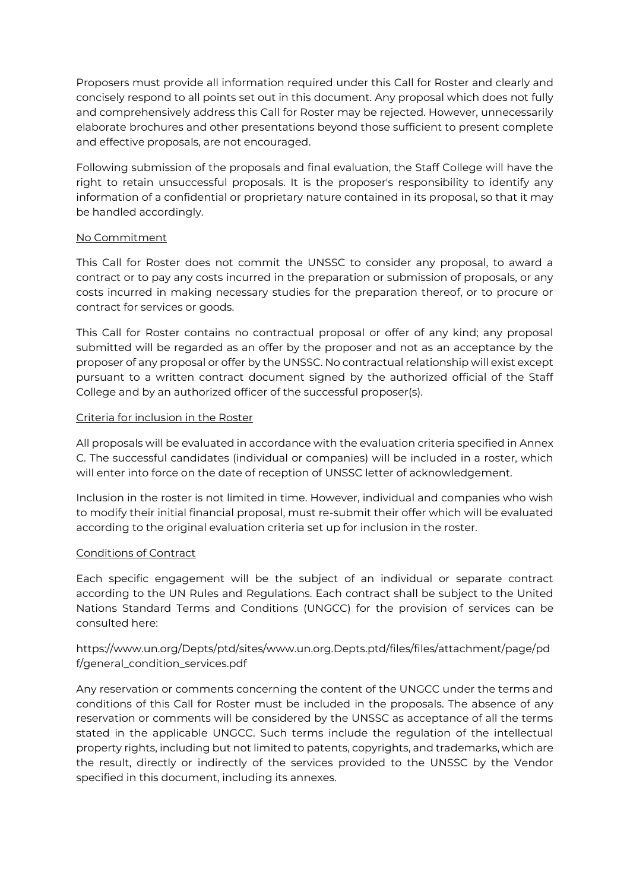Proposers must provide all information required under this Call for Roster and clearly and concisely respond to all points set out in this document. Any proposal which does not fully and comprehensively address this Call for Roster may be rejected. However, unnecessarily elaborate brochures and other presentations beyond those sufficient to present complete and effective proposals, are not encouraged.

Following submission of the proposals and final evaluation, the Staff College will have the right to retain unsuccessful proposals. It is the proposer's responsibility to identify any information of a confidential or proprietary nature contained in its proposal, so that it may be handled accordingly.

#### No Commitment

This Call for Roster does not commit the UNSSC to consider any proposal, to award a contract or to pay any costs incurred in the preparation or submission of proposals, or any costs incurred in making necessary studies for the preparation thereof, or to procure or contract for services or goods.

This Call for Roster contains no contractual proposal or offer of any kind; any proposal submitted will be regarded as an offer by the proposer and not as an acceptance by the proposer of any proposal or offer by the UNSSC. No contractual relationship will exist except pursuant to a written contract document signed by the authorized official of the Staff College and by an authorized officer of the successful proposer(s).

#### Criteria for inclusion in the Roster

All proposals will be evaluated in accordance with the evaluation criteria specified in Annex C. The successful candidates (individual or companies) will be included in a roster, which will enter into force on the date of reception of UNSSC letter of acknowledgement.

Inclusion in the roster is not limited in time. However, individual and companies who wish to modify their initial financial proposal, must re-submit their offer which will be evaluated according to the original evaluation criteria set up for inclusion in the roster.

#### Conditions of Contract

Each specific engagement will be the subject of an individual or separate contract according to the UN Rules and Regulations. Each contract shall be subject to the United Nations Standard Terms and Conditions (UNGCC) for the provision of services can be consulted here:

## [https://www.un.org/Depts/ptd/sites/www.un.org.Depts.ptd/files/files/attachment/page/pd](https://www.un.org/Depts/ptd/sites/www.un.org.Depts.ptd/files/files/attachment/page/pdf/general_condition_services.pdf) [f/general\\_condition\\_services.pdf](https://www.un.org/Depts/ptd/sites/www.un.org.Depts.ptd/files/files/attachment/page/pdf/general_condition_services.pdf)

Any reservation or comments concerning the content of the UNGCC under the terms and conditions of this Call for Roster must be included in the proposals. The absence of any reservation or comments will be considered by the UNSSC as acceptance of all the terms stated in the applicable UNGCC. Such terms include the regulation of the intellectual property rights, including but not limited to patents, copyrights, and trademarks, which are the result, directly or indirectly of the services provided to the UNSSC by the Vendor specified in this document, including its annexes.